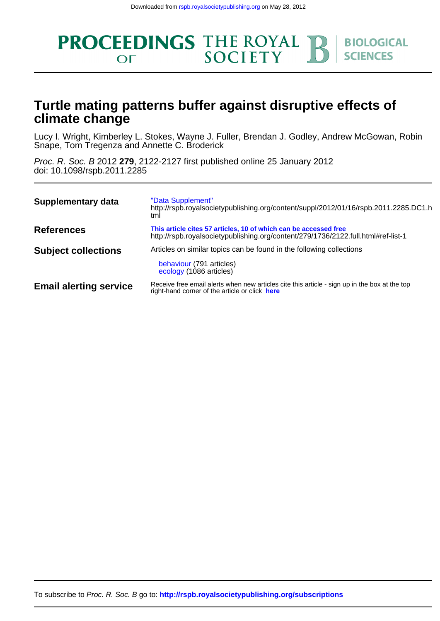

## **climate change Turtle mating patterns buffer against disruptive effects of**

Snape, Tom Tregenza and Annette C. Broderick Lucy I. Wright, Kimberley L. Stokes, Wayne J. Fuller, Brendan J. Godley, Andrew McGowan, Robin

doi: 10.1098/rspb.2011.2285 Proc. R. Soc. B 2012 **279**, 2122-2127 first published online 25 January 2012

| Supplementary data            | "Data Supplement"<br>http://rspb.royalsocietypublishing.org/content/suppl/2012/01/16/rspb.2011.2285.DC1.h<br>tml                                      |
|-------------------------------|-------------------------------------------------------------------------------------------------------------------------------------------------------|
| <b>References</b>             | This article cites 57 articles, 10 of which can be accessed free<br>http://rspb.royalsocietypublishing.org/content/279/1736/2122.full.html#ref-list-1 |
| <b>Subject collections</b>    | Articles on similar topics can be found in the following collections<br>behaviour (791 articles)<br>ecology (1086 articles)                           |
| <b>Email alerting service</b> | Receive free email alerts when new articles cite this article - sign up in the box at the top<br>right-hand corner of the article or click here       |

To subscribe to Proc. R. Soc. B go to: **<http://rspb.royalsocietypublishing.org/subscriptions>**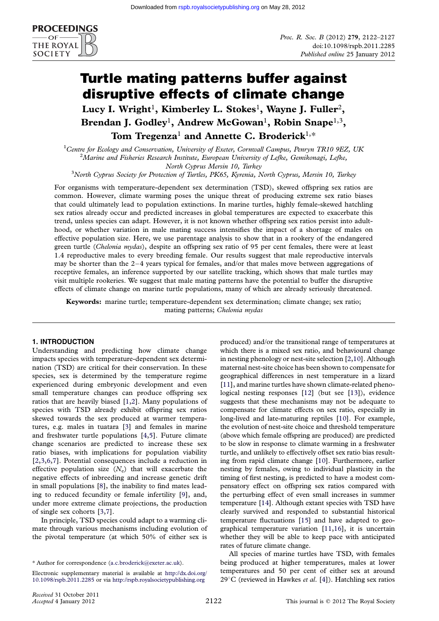

# Turtle mating patterns buffer against disruptive effects of climate change

Lucy I. Wright<sup>1</sup>, Kimberley L. Stokes<sup>1</sup>, Wayne J. Fuller<sup>2</sup>, Brendan J. Godley<sup>1</sup>, Andrew McGowan<sup>1</sup>, Robin Snape<sup>1,3</sup>, Tom Tregenza<sup>1</sup> and Annette C. Broderick<sup>1,\*</sup>

<sup>1</sup>Centre for Ecology and Conservation, University of Exeter, Cornwall Campus, Penryn TR10 9EZ, UK  $\frac{2M\text{crins and Eisherize Research Institute. European University of Lefto. Comibonsai. Lefto$  ${}^{2}$ Marine and Fisheries Research Institute, European University of Lefke, Gemikonagi, Lefke, North Cyprus Mersin 10, Turkey<br><sup>3</sup>North Cyprus Society for Protection of Turtles, PK65, Kyrenia, North Cyprus, Mersin 10, Turkey

For organisms with temperature-dependent sex determination (TSD), skewed offspring sex ratios are common. However, climate warming poses the unique threat of producing extreme sex ratio biases that could ultimately lead to population extinctions. In marine turtles, highly female-skewed hatchling sex ratios already occur and predicted increases in global temperatures are expected to exacerbate this trend, unless species can adapt. However, it is not known whether offspring sex ratios persist into adulthood, or whether variation in male mating success intensifies the impact of a shortage of males on effective population size. Here, we use parentage analysis to show that in a rookery of the endangered green turtle (Chelonia mydas), despite an offspring sex ratio of 95 per cent females, there were at least 1.4 reproductive males to every breeding female. Our results suggest that male reproductive intervals may be shorter than the  $2-4$  years typical for females, and/or that males move between aggregations of receptive females, an inference supported by our satellite tracking, which shows that male turtles may visit multiple rookeries. We suggest that male mating patterns have the potential to buffer the disruptive effects of climate change on marine turtle populations, many of which are already seriously threatened.

Keywords: marine turtle; temperature-dependent sex determination; climate change; sex ratio; mating patterns; Chelonia mydas

## 1. INTRODUCTION

Understanding and predicting how climate change impacts species with temperature-dependent sex determination (TSD) are critical for their conservation. In these species, sex is determined by the temperature regime experienced during embryonic development and even small temperature changes can produce offspring sex ratios that are heavily biased [\[1,2](#page-5-0)]. Many populations of species with TSD already exhibit offspring sex ratios skewed towards the sex produced at warmer temperatures, e.g. males in tuatara [\[3\]](#page-5-0) and females in marine and freshwater turtle populations [\[4,5\]](#page-5-0). Future climate change scenarios are predicted to increase these sex ratio biases, with implications for population viability [\[2,3,6,7\]](#page-5-0). Potential consequences include a reduction in effective population size  $(N_e)$  that will exacerbate the negative effects of inbreeding and increase genetic drift in small populations [[8](#page-5-0)], the inability to find mates leading to reduced fecundity or female infertility [\[9\]](#page-5-0), and, under more extreme climate projections, the production of single sex cohorts [\[3,7\]](#page-5-0).

In principle, TSD species could adapt to a warming climate through various mechanisms including evolution of the pivotal temperature (at which 50% of either sex is produced) and/or the transitional range of temperatures at which there is a mixed sex ratio, and behavioural change in nesting phenology or nest-site selection [\[2,10](#page-5-0)]. Although maternal nest-site choice has been shown to compensate for geographical differences in nest temperature in a lizard [\[11\]](#page-5-0), and marine turtles have shown climate-related phenological nesting responses [\[12\]](#page-5-0) (but see [\[13](#page-5-0)]), evidence suggests that these mechanisms may not be adequate to compensate for climate effects on sex ratio, especially in long-lived and late-maturing reptiles [\[10\]](#page-5-0). For example, the evolution of nest-site choice and threshold temperature (above which female offspring are produced) are predicted to be slow in response to climate warming in a freshwater turtle, and unlikely to effectively offset sex ratio bias resulting from rapid climate change [\[10\]](#page-5-0). Furthermore, earlier nesting by females, owing to individual plasticity in the timing of first nesting, is predicted to have a modest compensatory effect on offspring sex ratios compared with the perturbing effect of even small increases in summer temperature [\[14\]](#page-5-0). Although extant species with TSD have clearly survived and responded to substantial historical temperature fluctuations [\[15](#page-5-0)] and have adapted to geographical temperature variation [[11](#page-5-0),[16](#page-5-0)], it is uncertain whether they will be able to keep pace with anticipated rates of future climate change.

All species of marine turtles have TSD, with females being produced at higher temperatures, males at lower temperatures and 50 per cent of either sex at around 29 $^{\circ}$ C (reviewed in Hawkes *et al.* [\[4\]](#page-5-0)). Hatchling sex ratios

<sup>\*</sup> Author for correspondence ([a.c.broderick@exeter.ac.uk\)](mailto:a.c.broderick@exeter.ac.uk).

Electronic supplementary material is available at [http://dx.doi.org/](http://dx.doi.org/10.1098/rspb.2011.2285) [10.1098/rspb.2011.2285](http://dx.doi.org/10.1098/rspb.2011.2285) or via <http://rspb.royalsocietypublishing.org>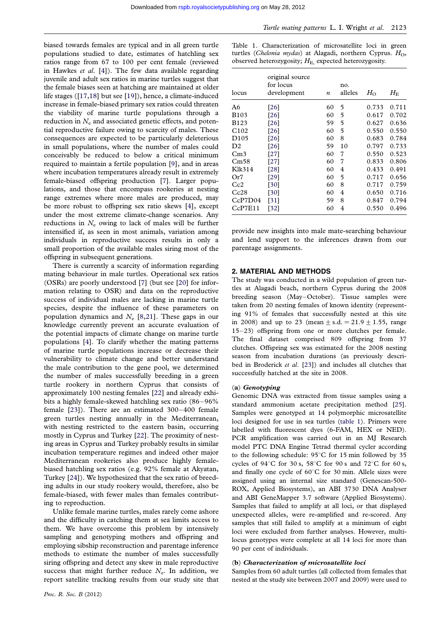biased towards females are typical and in all green turtle populations studied to date, estimates of hatchling sex ratios range from 67 to 100 per cent female (reviewed in Hawkes *et al.*  $[4]$  $[4]$ ). The few data available regarding juvenile and adult sex ratios in marine turtles suggest that the female biases seen at hatching are maintained at older life stages ([[17,18](#page-5-0)] but see [\[19](#page-5-0)]), hence, a climate-induced increase in female-biased primary sex ratios could threaten the viability of marine turtle populations through a reduction in  $N<sub>e</sub>$  and associated genetic effects, and potential reproductive failure owing to scarcity of males. These consequences are expected to be particularly deleterious in small populations, where the number of males could conceivably be reduced to below a critical minimum required to maintain a fertile population [\[9](#page-5-0)], and in areas where incubation temperatures already result in extremely female-biased offspring production [\[7\]](#page-5-0). Larger populations, and those that encompass rookeries at nesting range extremes where more males are produced, may be more robust to offspring sex ratio skews [\[4\]](#page-5-0), except under the most extreme climate-change scenarios. Any reductions in  $N_e$  owing to lack of males will be further intensified if, as seen in most animals, variation among individuals in reproductive success results in only a small proportion of the available males siring most of the offspring in subsequent generations.

There is currently a scarcity of information regarding mating behaviour in male turtles. Operational sex ratios (OSRs) are poorly understood [\[7](#page-5-0)] (but see [\[20\]](#page-5-0) for information relating to OSR) and data on the reproductive success of individual males are lacking in marine turtle species, despite the influence of these parameters on population dynamics and  $N_e$  [[8,21](#page-5-0)]. These gaps in our knowledge currently prevent an accurate evaluation of the potential impacts of climate change on marine turtle populations [[4\]](#page-5-0). To clarify whether the mating patterns of marine turtle populations increase or decrease their vulnerability to climate change and better understand the male contribution to the gene pool, we determined the number of males successfully breeding in a green turtle rookery in northern Cyprus that consists of approximately 100 nesting females [[22](#page-5-0)] and already exhibits a highly female-skewed hatchling sex ratio (86–96%) female [\[23\]](#page-5-0)). There are an estimated 300–400 female green turtles nesting annually in the Mediterranean, with nesting restricted to the eastern basin, occurring mostly in Cyprus and Turkey [\[22\]](#page-5-0). The proximity of nesting areas in Cyprus and Turkey probably results in similar incubation temperature regimes and indeed other major Mediterranean rookeries also produce highly femalebiased hatchling sex ratios (e.g. 92% female at Akyatan, Turkey [\[24\]](#page-5-0)). We hypothesized that the sex ratio of breeding adults in our study rookery would, therefore, also be female-biased, with fewer males than females contributing to reproduction.

Unlike female marine turtles, males rarely come ashore and the difficulty in catching them at sea limits access to them. We have overcome this problem by intensively sampling and genotyping mothers and offspring and employing sibship reconstruction and parentage inference methods to estimate the number of males successfully siring offspring and detect any skew in male reproductive success that might further reduce  $N_e$ . In addition, we report satellite tracking results from our study site that

|                                                        |  |  |  |  |  |  | Table 1. Characterization of microsatellite loci in green             |  |  |
|--------------------------------------------------------|--|--|--|--|--|--|-----------------------------------------------------------------------|--|--|
|                                                        |  |  |  |  |  |  | turtles ( <i>Chelonia mydas</i> ) at Alagadi, northern Cyprus. $HO$ , |  |  |
| observed heterozygosity; $HE$ expected heterozygosity. |  |  |  |  |  |  |                                                                       |  |  |

| locus            | original source<br>for locus<br>development | $\boldsymbol{n}$ | no.<br>alleles | $H_{\rm O}$ | $H_{\rm E}$ |
|------------------|---------------------------------------------|------------------|----------------|-------------|-------------|
| A6               | [26]                                        | 60               | 5              | 0.733       | 0.711       |
| <b>B103</b>      | [26]                                        | 60               | 5              | 0.617       | 0.702       |
| B123             | [26]                                        | 59               | 5              | 0.627       | 0.636       |
| C <sub>102</sub> | [26]                                        | 60               | 5              | 0.550       | 0.550       |
| D105             | [26]                                        | 60               | 8              | 0.683       | 0.784       |
| D <sub>2</sub>   | [26]                                        | 59               | 10             | 0.797       | 0.733       |
| Cm3              | [27]                                        | 60               | 7              | 0.550       | 0.523       |
| Cm58             | [27]                                        | 60               | 7              | 0.833       | 0.806       |
| Klk314           | [28]                                        | 60               | 4              | 0.433       | 0.491       |
| Or7              | [29]                                        | 60               | 5              | 0.717       | 0.656       |
| Cc2              | [30]                                        | 60               | 8              | 0.717       | 0.759       |
| Cc28             | [30]                                        | 60               | 4              | 0.650       | 0.716       |
| CcP7D04          | [31]                                        | 59               | 8              | 0.847       | 0.794       |
| CcP7E11          | $[32]$                                      | 60               | 4              | 0.550       | 0.496       |

provide new insights into male mate-searching behaviour and lend support to the inferences drawn from our parentage assignments.

#### 2. MATERIAL AND METHODS

The study was conducted in a wild population of green turtles at Alagadi beach, northern Cyprus during the 2008 breeding season (May-October). Tissue samples were taken from 20 nesting females of known identity (representing 91% of females that successfully nested at this site in 2008) and up to 23 (mean  $\pm$  s.d. = 21.9  $\pm$  1.55, range 15–23) offspring from one or more clutches per female. The final dataset comprised 809 offspring from 37 clutches. Offspring sex was estimated for the 2008 nesting season from incubation durations (as previously descri-bed in Broderick et al. [[23\]](#page-5-0)) and includes all clutches that successfully hatched at the site in 2008.

### (a) Genotyping

Genomic DNA was extracted from tissue samples using a standard ammonium acetate precipitation method [[25](#page-5-0)]. Samples were genotyped at 14 polymorphic microsatellite loci designed for use in sea turtles (table 1). Primers were labelled with fluorescent dyes (6-FAM, HEX or NED). PCR amplification was carried out in an MJ Research model PTC DNA Engine Tetrad thermal cycler according to the following schedule:  $95^{\circ}$ C for 15 min followed by 35 cycles of 94 $\degree$ C for 30 s, 58 $\degree$ C for 90 s and 72 $\degree$ C for 60 s, and finally one cycle of  $60^{\circ}$ C for 30 min. Allele sizes were assigned using an internal size standard (Genescan-500- ROX, Applied Biosystems), an ABI 3730 DNA Analyser and ABI GeneMapper 3.7 software (Applied Biosystems). Samples that failed to amplify at all loci, or that displayed unexpected alleles, were re-amplified and re-scored. Any samples that still failed to amplify at a minimum of eight loci were excluded from further analyses. However, multilocus genotypes were complete at all 14 loci for more than 90 per cent of individuals.

## (b) Characterization of microsatellite loci

Samples from 60 adult turtles (all collected from females that nested at the study site between 2007 and 2009) were used to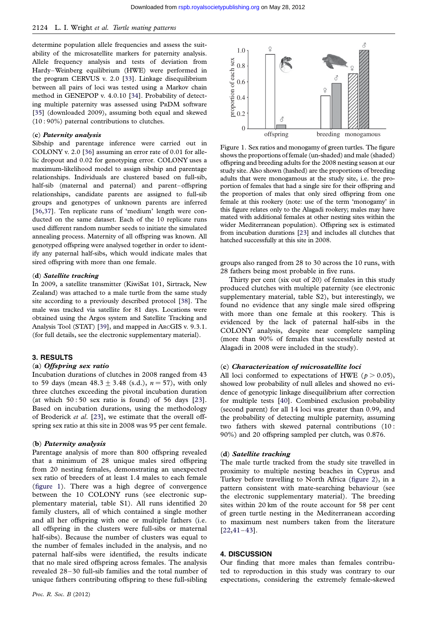<span id="page-3-0"></span>determine population allele frequencies and assess the suitability of the microsatellite markers for paternity analysis. Allele frequency analysis and tests of deviation from Hardy–Weinberg equilibrium (HWE) were performed in the program CERVUS v. 2.0 [[33\]](#page-6-0). Linkage disequilibrium between all pairs of loci was tested using a Markov chain method in GENEPOP v. 4.0.10 [[34\]](#page-6-0). Probability of detecting multiple paternity was assessed using PRDM software [\[35](#page-6-0)] (downloaded 2009), assuming both equal and skewed (10 : 90%) paternal contributions to clutches.

## (c) Paternity analysis

Sibship and parentage inference were carried out in COLONY v. 2.0 [[36\]](#page-6-0) assuming an error rate of 0.01 for allelic dropout and 0.02 for genotyping error. COLONY uses a maximum-likelihood model to assign sibship and parentage relationships. Individuals are clustered based on full-sib, half-sib (maternal and paternal) and parent–offspring relationships, candidate parents are assigned to full-sib groups and genotypes of unknown parents are inferred [\[36](#page-6-0),[37\]](#page-6-0). Ten replicate runs of 'medium' length were conducted on the same dataset. Each of the 10 replicate runs used different random number seeds to initiate the simulated annealing process. Maternity of all offspring was known. All genotyped offspring were analysed together in order to identify any paternal half-sibs, which would indicate males that sired offspring with more than one female.

#### (d) Satellite tracking

In 2009, a satellite transmitter (KiwiSat 101, Sirtrack, New Zealand) was attached to a male turtle from the same study site according to a previously described protocol [\[38](#page-6-0)]. The male was tracked via satellite for 81 days. Locations were obtained using the Argos system and Satellite Tracking and Analysis Tool (STAT) [\[39\]](#page-6-0), and mapped in ARCGIS v. 9.3.1. (for full details, see the electronic supplementary material).

#### 3. RESULTS

## (a) Offspring sex ratio

Incubation durations of clutches in 2008 ranged from 43 to 59 days (mean  $48.3 \pm 3.48$  (s.d.),  $n = 57$ ), with only three clutches exceeding the pivotal incubation duration (at which  $50:50$  sex ratio is found) of 56 days  $[23]$  $[23]$  $[23]$ . Based on incubation durations, using the methodology of Broderick et al. [[23](#page-5-0)], we estimate that the overall offspring sex ratio at this site in 2008 was 95 per cent female.

#### (b) Paternity analysis

Parentage analysis of more than 800 offspring revealed that a minimum of 28 unique males sired offspring from 20 nesting females, demonstrating an unexpected sex ratio of breeders of at least 1.4 males to each female (figure 1). There was a high degree of convergence between the 10 COLONY runs (see electronic supplementary material, table S1). All runs identified 20 family clusters, all of which contained a single mother and all her offspring with one or multiple fathers (i.e. all offspring in the clusters were full-sibs or maternal half-sibs). Because the number of clusters was equal to the number of females included in the analysis, and no paternal half-sibs were identified, the results indicate that no male sired offspring across females. The analysis revealed 28 –30 full-sib families and the total number of unique fathers contributing offspring to these full-sibling



Figure 1. Sex ratios and monogamy of green turtles. The figure shows the proportions of female (un-shaded) and male (shaded) offspring and breeding adults for the 2008 nesting season at our study site. Also shown (hashed) are the proportions of breeding adults that were monogamous at the study site, i.e. the proportion of females that had a single sire for their offspring and the proportion of males that only sired offspring from one female at this rookery (note: use of the term 'monogamy' in this figure relates only to the Alagadi rookery; males may have mated with additional females at other nesting sites within the wider Mediterranean population). Offspring sex is estimated from incubation durations [\[23\]](#page-5-0) and includes all clutches that hatched successfully at this site in 2008.

groups also ranged from 28 to 30 across the 10 runs, with 28 fathers being most probable in five runs.

Thirty per cent (six out of 20) of females in this study produced clutches with multiple paternity (see electronic supplementary material, table S2), but interestingly, we found no evidence that any single male sired offspring with more than one female at this rookery. This is evidenced by the lack of paternal half-sibs in the COLONY analysis, despite near complete sampling (more than 90% of females that successfully nested at Alagadi in 2008 were included in the study).

## (c) Characterization of microsatellite loci

All loci conformed to expectations of HWE ( $p > 0.05$ ), showed low probability of null alleles and showed no evidence of genotypic linkage disequilibrium after correction for multiple tests [\[40](#page-6-0)]. Combined exclusion probability (second parent) for all 14 loci was greater than 0.99, and the probability of detecting multiple paternity, assuming two fathers with skewed paternal contributions (10 : 90%) and 20 offspring sampled per clutch, was 0.876.

#### (d) Satellite tracking

The male turtle tracked from the study site travelled in proximity to multiple nesting beaches in Cyprus and Turkey before travelling to North Africa [\(figure 2](#page-4-0)), in a pattern consistent with mate-searching behaviour (see the electronic supplementary material). The breeding sites within 20 km of the route account for 58 per cent of green turtle nesting in the Mediterranean according to maximum nest numbers taken from the literature [\[22,](#page-5-0)[41](#page-6-0)–[43](#page-6-0)].

## 4. DISCUSSION

Our finding that more males than females contributed to reproduction in this study was contrary to our expectations, considering the extremely female-skewed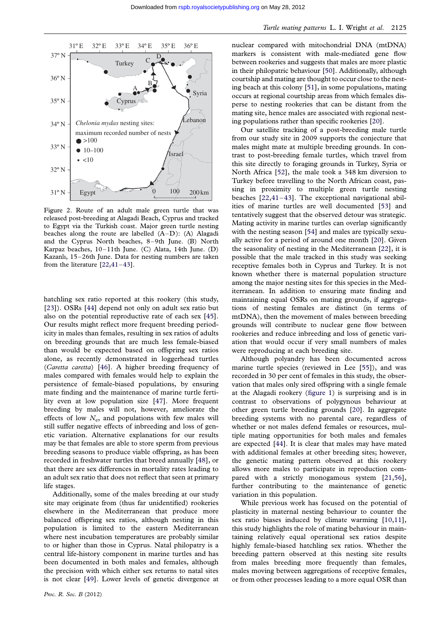<span id="page-4-0"></span>

Figure 2. Route of an adult male green turtle that was released post-breeding at Alagadi Beach, Cyprus and tracked to Egypt via the Turkish coast. Major green turtle nesting beaches along the route are labelled  $(A-D)$ :  $(A)$  Alagadi and the Cyprus North beaches, 8–9th June. (B) North Karpaz beaches, 10–11th June. (C) Alata, 14th June. (D) Kazanlı, 15–26th June. Data for nesting numbers are taken from the literature [\[22](#page-5-0),[41](#page-6-0)–[43\]](#page-6-0).

hatchling sex ratio reported at this rookery (this study, [\[23\]](#page-5-0)). OSRs [[44](#page-6-0)] depend not only on adult sex ratio but also on the potential reproductive rate of each sex [[45](#page-6-0)]. Our results might reflect more frequent breeding periodicity in males than females, resulting in sex ratios of adults on breeding grounds that are much less female-biased than would be expected based on offspring sex ratios alone, as recently demonstrated in loggerhead turtles (Caretta caretta) [[46](#page-6-0)]. A higher breeding frequency of males compared with females would help to explain the persistence of female-biased populations, by ensuring mate finding and the maintenance of marine turtle fertility even at low population size [[47](#page-6-0)]. More frequent breeding by males will not, however, ameliorate the effects of low  $N_e$ , and populations with few males will still suffer negative effects of inbreeding and loss of genetic variation. Alternative explanations for our results may be that females are able to store sperm from previous breeding seasons to produce viable offspring, as has been recorded in freshwater turtles that breed annually [\[48\]](#page-6-0), or that there are sex differences in mortality rates leading to an adult sex ratio that does not reflect that seen at primary life stages.

Additionally, some of the males breeding at our study site may originate from (thus far unidentified) rookeries elsewhere in the Mediterranean that produce more balanced offspring sex ratios, although nesting in this population is limited to the eastern Mediterranean where nest incubation temperatures are probably similar to or higher than those in Cyprus. Natal philopatry is a central life-history component in marine turtles and has been documented in both males and females, although the precision with which either sex returns to natal sites is not clear [\[49](#page-6-0)]. Lower levels of genetic divergence at nuclear compared with mitochondrial DNA (mtDNA) markers is consistent with male-mediated gene flow between rookeries and suggests that males are more plastic in their philopatric behaviour [[50](#page-6-0)]. Additionally, although courtship and mating are thought to occur close to the nesting beach at this colony [\[51\]](#page-6-0), in some populations, mating occurs at regional courtship areas from which females disperse to nesting rookeries that can be distant from the mating site, hence males are associated with regional nesting populations rather than specific rookeries [[20](#page-5-0)].

Our satellite tracking of a post-breeding male turtle from our study site in 2009 supports the conjecture that males might mate at multiple breeding grounds. In contrast to post-breeding female turtles, which travel from this site directly to foraging grounds in Turkey, Syria or North Africa [\[52\]](#page-6-0), the male took a 348 km diversion to Turkey before travelling to the North African coast, passing in proximity to multiple green turtle nesting beaches [[22](#page-5-0)[,41](#page-6-0)–[43\]](#page-6-0). The exceptional navigational abilities of marine turtles are well documented [[53](#page-6-0)] and tentatively suggest that the observed detour was strategic. Mating activity in marine turtles can overlap significantly with the nesting season [\[54](#page-6-0)] and males are typically sexually active for a period of around one month [[20](#page-5-0)]. Given the seasonality of nesting in the Mediterranean [[22](#page-5-0)], it is possible that the male tracked in this study was seeking receptive females both in Cyprus and Turkey. It is not known whether there is maternal population structure among the major nesting sites for this species in the Mediterranean. In addition to ensuring mate finding and maintaining equal OSRs on mating grounds, if aggregations of nesting females are distinct (in terms of mtDNA), then the movement of males between breeding grounds will contribute to nuclear gene flow between rookeries and reduce inbreeding and loss of genetic variation that would occur if very small numbers of males were reproducing at each breeding site.

Although polyandry has been documented across marine turtle species (reviewed in Lee [[55](#page-6-0)]), and was recorded in 30 per cent of females in this study, the observation that males only sired offspring with a single female at the Alagadi rookery ([figure 1\)](#page-3-0) is surprising and is in contrast to observations of polygynous behaviour at other green turtle breeding grounds [[20](#page-5-0)]. In aggregate breeding systems with no parental care, regardless of whether or not males defend females or resources, multiple mating opportunities for both males and females are expected [[44](#page-6-0)]. It is clear that males may have mated with additional females at other breeding sites; however, the genetic mating pattern observed at this rookery allows more males to participate in reproduction compared with a strictly monogamous system [\[21,](#page-5-0)[56](#page-6-0)], further contributing to the maintenance of genetic variation in this population.

While previous work has focused on the potential of plasticity in maternal nesting behaviour to counter the sex ratio biases induced by climate warming [\[10,11](#page-5-0)], this study highlights the role of mating behaviour in maintaining relatively equal operational sex ratios despite highly female-biased hatchling sex ratios. Whether the breeding pattern observed at this nesting site results from males breeding more frequently than females, males moving between aggregations of receptive females, or from other processes leading to a more equal OSR than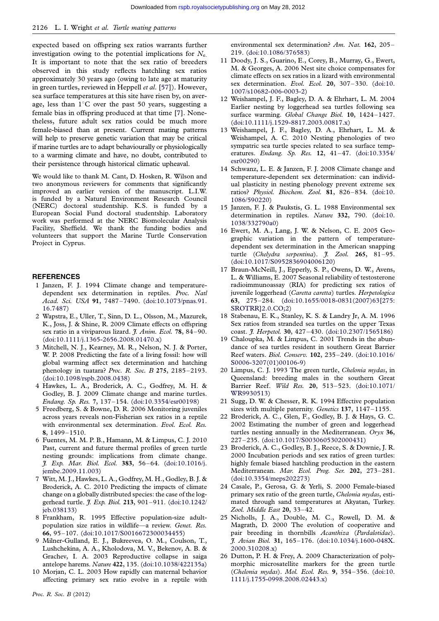<span id="page-5-0"></span>expected based on offspring sex ratios warrants further investigation owing to the potential implications for  $N_e$ . It is important to note that the sex ratio of breeders observed in this study reflects hatchling sex ratios approximately 30 years ago (owing to late age at maturity in green turtles, reviewed in Heppell et al. [[57](#page-6-0)]). However, sea surface temperatures at this site have risen by, on average, less than  $1^{\circ}$ C over the past 50 years, suggesting a female bias in offspring produced at that time [7]. Nonetheless, future adult sex ratios could be much more female-biased than at present. Current mating patterns will help to preserve genetic variation that may be critical if marine turtles are to adapt behaviourally or physiologically to a warming climate and have, no doubt, contributed to their persistence through historical climatic upheaval.

We would like to thank M. Cant, D. Hosken, R. Wilson and two anonymous reviewers for comments that significantly improved an earlier version of the manuscript. L.I.W. is funded by a Natural Environment Research Council (NERC) doctoral studentship. K.S. is funded by a European Social Fund doctoral studentship. Laboratory work was performed at the NERC Biomolecular Analysis Facility, Sheffield. We thank the funding bodies and volunteers that support the Marine Turtle Conservation Project in Cyprus.

#### **REFERENCES**

- 1 Janzen, F. J. 1994 Climate change and temperaturedependent sex determination in reptiles. Proc. Natl Acad. Sci. USA 91, 7487–7490. ([doi:10.1073/pnas.91.](http://dx.doi.org/10.1073/pnas.91.16.7487) [16.7487](http://dx.doi.org/10.1073/pnas.91.16.7487))
- 2 Wapstra, E., Uller, T., Sinn, D. L., Olsson, M., Mazurek, K., Joss, J. & Shine, R. 2009 Climate effects on offspring sex ratio in a viviparous lizard. J. Anim. Ecol. 78, 84-90. [\(doi:10.1111/j.1365-2656.2008.01470.x](http://dx.doi.org/10.1111/j.1365-2656.2008.01470.x))
- 3 Mitchell, N. J., Kearney, M. R., Nelson, N. J. & Porter, W. P. 2008 Predicting the fate of a living fossil: how will global warming affect sex determination and hatching phenology in tuatara? Proc. R. Soc. B 275, 2185–2193. [\(doi:10.1098/rspb.2008.0438](http://dx.doi.org/10.1098/rspb.2008.0438))
- 4 Hawkes, L. A., Broderick, A. C., Godfrey, M. H. & Godley, B. J. 2009 Climate change and marine turtles. Endang. Sp. Res. 7, 137–154. [\(doi:10.3354/esr00198](http://dx.doi.org/10.3354/esr00198))
- 5 Freedberg, S. & Bowne, D. R. 2006 Monitoring juveniles across years reveals non-Fisherian sex ratios in a reptile with environmental sex determination. Evol. Ecol. Res. 8, 1499–1510.
- 6 Fuentes, M. M. P. B., Hamann, M. & Limpus, C. J. 2010 Past, current and future thermal profiles of green turtle nesting grounds: implications from climate change. J. Exp. Mar. Biol. Ecol. 383, 56–64. ([doi:10.1016/j.](http://dx.doi.org/10.1016/j.jembe.2009.11.003) [jembe.2009.11.003\)](http://dx.doi.org/10.1016/j.jembe.2009.11.003)
- 7 Witt, M. J., Hawkes, L. A., Godfrey, M. H., Godley, B. J. & Broderick, A. C. 2010 Predicting the impacts of climate change on a globally distributed species: the case of the loggerhead turtle. J. Exp. Biol. 213, 901–911. [\(doi:10.1242/](http://dx.doi.org/10.1242/jeb.038133) [jeb.038133](http://dx.doi.org/10.1242/jeb.038133))
- 8 Frankham, R. 1995 Effective population-size adultpopulation size ratios in wildlife—a review. Genet. Res. 66, 95–107. ([doi:10.1017/S0016672300034455\)](http://dx.doi.org/10.1017/S0016672300034455)
- 9 Milner-Gulland, E. J., Bukreevea, O. M., Coulson, T., Lushchekina, A. A., Kholodova, M. V., Bekenov, A. B. & Grachev, I. A. 2003 Reproductive collapse in saiga antelope harems. Nature 422, 135. [\(doi:10.1038/422135a](http://dx.doi.org/10.1038/422135a))
- 10 Morjan, C. L. 2003 How rapidly can maternal behavior affecting primary sex ratio evolve in a reptile with

environmental sex determination? Am. Nat. 162, 205-219. [\(doi:10.1086/376583\)](http://dx.doi.org/10.1086/376583)

- 11 Doody, J. S., Guarino, E., Corey, B., Murray, G., Ewert, M. & Georges, A. 2006 Nest site choice compensates for climate effects on sex ratios in a lizard with environmental sex determination. Evol. Ecol. 20, 307-330. [\(doi:10.](http://dx.doi.org/10.1007/s10682-006-0003-2) [1007/s10682-006-0003-2](http://dx.doi.org/10.1007/s10682-006-0003-2))
- 12 Weishampel, J. F., Bagley, D. A. & Ehrhart, L. M. 2004 Earlier nesting by loggerhead sea turtles following sea surface warming. Global Change Biol. 10, 1424–1427. ([doi:10.1111/j.1529-8817.2003.00817.x\)](http://dx.doi.org/10.1111/j.1529-8817.2003.00817.x)
- 13 Weishampel, J. F., Bagley, D. A., Ehrhart, L. M. & Weishampel, A. C. 2010 Nesting phenologies of two sympatric sea turtle species related to sea surface temperatures. Endang. Sp. Res. 12, 41–47. ([doi:10.3354/](http://dx.doi.org/10.3354/esr00290) [esr00290](http://dx.doi.org/10.3354/esr00290))
- 14 Schwanz, L. E. & Janzen, F. J. 2008 Climate change and temperature-dependent sex determination: can individual plasticity in nesting phenology prevent extreme sex ratios? Physiol. Biochem. Zool. 81, 826 –834. [\(doi:10.](http://dx.doi.org/10.1086/590220) [1086/590220](http://dx.doi.org/10.1086/590220))
- 15 Janzen, F. J. & Paukstis, G. L. 1988 Environmental sex determination in reptiles. Nature 332, 790. [\(doi:10.](http://dx.doi.org/10.1038/332790a0) [1038/332790a0\)](http://dx.doi.org/10.1038/332790a0)
- 16 Ewert, M. A., Lang, J. W. & Nelson, C. E. 2005 Geographic variation in the pattern of temperaturedependent sex determination in the American snapping turtle (Chelydra serpentina).  $\tilde{f}$ . Zool. 265, 81-95. ([doi:10.1017/S0952836904006120](http://dx.doi.org/10.1017/S0952836904006120))
- 17 Braun-McNeill, J., Epperly, S. P., Owens, D. W., Avens, L. & Williams, E. 2007 Seasonal reliability of testosterone radioimmunoassay (RIA) for predicting sex ratios of juvenile loggerhead (Caretta caretta) turtles. Herpetologica 63, 275 –284. [\(doi:10.1655/0018-0831\(2007\)63\[275:](http://dx.doi.org/10.1655/0018-0831(2007)63[275:SROTRR]2.0.CO;2) [SROTRR\]2.0.CO;2](http://dx.doi.org/10.1655/0018-0831(2007)63[275:SROTRR]2.0.CO;2))
- 18 Stabenau, E. K., Stanley, K. S. & Landry Jr, A. M. 1996 Sex ratios from stranded sea turtles on the upper Texas coast. J. Herpetol. 30, 427–430. [\(doi:10.2307/1565186\)](http://dx.doi.org/10.2307/1565186)
- 19 Chaloupka, M. & Limpus, C. 2001 Trends in the abundance of sea turtles resident in southern Great Barrier Reef waters. Biol. Conserv. 102, 235 –249. ([doi:10.1016/](http://dx.doi.org/10.1016/S0006-3207(01)00106-9) [S0006-3207\(01\)00106-9](http://dx.doi.org/10.1016/S0006-3207(01)00106-9))
- 20 Limpus, C. J. 1993 The green turtle, Chelonia mydas, in Queensland: breeding males in the southern Great Barrier Reef. Wild Res. 20, 513 –523. ([doi:10.1071/](http://dx.doi.org/10.1071/WR9930513) [WR9930513](http://dx.doi.org/10.1071/WR9930513))
- 21 Sugg, D. W. & Chesser, R. K. 1994 Effective population sizes with multiple paternity. Genetics 137, 1147-1155.
- 22 Broderick, A. C., Glen, F., Godley, B. J. & Hays, G. C. 2002 Estimating the number of green and loggerhead turtles nesting annually in the Mediterranean. Oryx 36, 227 –235. [\(doi:10.1017/S0030605302000431](http://dx.doi.org/10.1017/S0030605302000431))
- 23 Broderick, A. C., Godley, B. J., Reece, S. & Downie, J. R. 2000 Incubation periods and sex ratios of green turtles: highly female biased hatchling production in the eastern Mediterranean. Mar. Ecol. Prog. Ser. 202, 273-281. ([doi:10.3354/meps202273](http://dx.doi.org/10.3354/meps202273))
- 24 Casale, P., Gerosa, G. & Yerli, S. 2000 Female-biased primary sex ratio of the green turtle, Chelonia mydas, estimated through sand temperatures at Akyatan, Turkey. Zool. Middle East 20, 33–42.
- 25 Nicholls, J. A., Double, M. C., Rowell, D. M. & Magrath, D. 2000 The evolution of cooperative and pair breeding in thornbills Acanthiza (Pardalotidae). J. Avian Biol. 31, 165 –176. [\(doi:10.1034/j.1600-048X.](http://dx.doi.org/10.1034/j.1600-048X.2000.310208.x) [2000.310208.x\)](http://dx.doi.org/10.1034/j.1600-048X.2000.310208.x)
- 26 Dutton, P. H. & Frey, A. 2009 Characterization of polymorphic microsatellite markers for the green turtle (Chelonia mydas). Mol. Ecol. Res. 9, 354–356. [\(doi:10.](http://dx.doi.org/10.1111/j.1755-0998.2008.02443.x) [1111/j.1755-0998.2008.02443.x\)](http://dx.doi.org/10.1111/j.1755-0998.2008.02443.x)